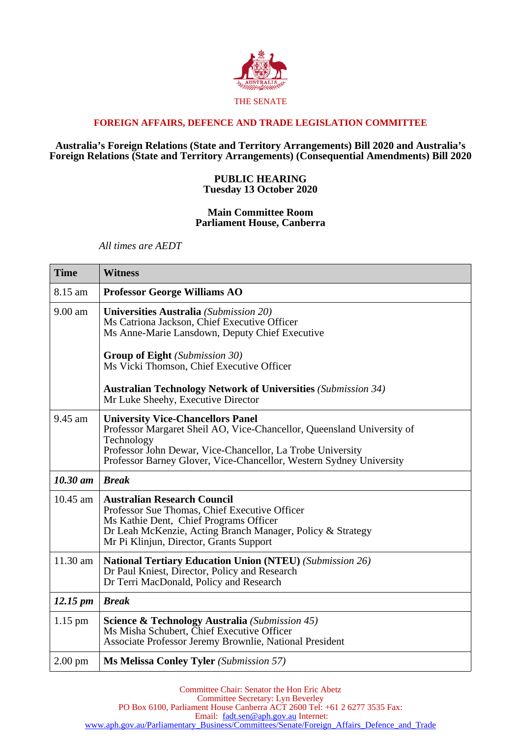

# **FOREIGN AFFAIRS, DEFENCE AND TRADE LEGISLATION COMMITTEE**

## **Australia's Foreign Relations (State and Territory Arrangements) Bill 2020 and Australia's Foreign Relations (State and Territory Arrangements) (Consequential Amendments) Bill 2020**

## **PUBLIC HEARING Tuesday 13 October 2020**

#### **Main Committee Room Parliament House, Canberra**

*All times are AEDT*

| <b>Time</b>          | <b>Witness</b>                                                                                                                                                                                                                                                        |
|----------------------|-----------------------------------------------------------------------------------------------------------------------------------------------------------------------------------------------------------------------------------------------------------------------|
| 8.15 am              | <b>Professor George Williams AO</b>                                                                                                                                                                                                                                   |
| $9.00$ am            | Universities Australia (Submission 20)<br>Ms Catriona Jackson, Chief Executive Officer<br>Ms Anne-Marie Lansdown, Deputy Chief Executive                                                                                                                              |
|                      | <b>Group of Eight</b> (Submission 30)<br>Ms Vicki Thomson, Chief Executive Officer                                                                                                                                                                                    |
|                      | <b>Australian Technology Network of Universities (Submission 34)</b><br>Mr Luke Sheehy, Executive Director                                                                                                                                                            |
| 9.45 am              | <b>University Vice-Chancellors Panel</b><br>Professor Margaret Sheil AO, Vice-Chancellor, Queensland University of<br>Technology<br>Professor John Dewar, Vice-Chancellor, La Trobe University<br>Professor Barney Glover, Vice-Chancellor, Western Sydney University |
| $10.30$ am           | <b>Break</b>                                                                                                                                                                                                                                                          |
| $10.45$ am           | <b>Australian Research Council</b><br>Professor Sue Thomas, Chief Executive Officer<br>Ms Kathie Dent, Chief Programs Officer<br>Dr Leah McKenzie, Acting Branch Manager, Policy & Strategy<br>Mr Pi Klinjun, Director, Grants Support                                |
| 11.30 am             | <b>National Tertiary Education Union (NTEU) (Submission 26)</b><br>Dr Paul Kniest, Director, Policy and Research<br>Dr Terri MacDonald, Policy and Research                                                                                                           |
| $12.15 \, \text{pm}$ | <b>Break</b>                                                                                                                                                                                                                                                          |
| $1.15$ pm            | <b>Science &amp; Technology Australia</b> (Submission 45)<br>Ms Misha Schubert, Chief Executive Officer<br>Associate Professor Jeremy Brownlie, National President                                                                                                    |
| $2.00 \text{ pm}$    | <b>Ms Melissa Conley Tyler</b> (Submission 57)                                                                                                                                                                                                                        |